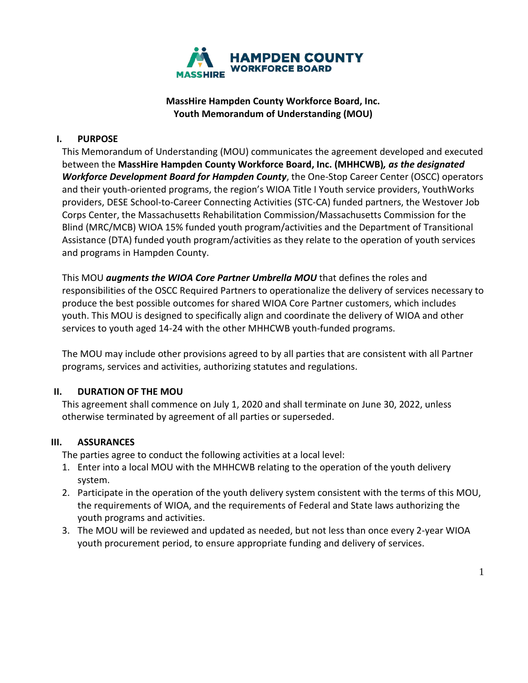

# **MassHire Hampden County Workforce Board, Inc. Youth Memorandum of Understanding (MOU)**

### **I. PURPOSE**

This Memorandum of Understanding (MOU) communicates the agreement developed and executed between the **MassHire Hampden County Workforce Board, Inc. (MHHCWB)***, as the designated Workforce Development Board for Hampden County*, the One-Stop Career Center (OSCC) operators and their youth-oriented programs, the region's WIOA Title I Youth service providers, YouthWorks providers, DESE School-to-Career Connecting Activities (STC-CA) funded partners, the Westover Job Corps Center, the Massachusetts Rehabilitation Commission/Massachusetts Commission for the Blind (MRC/MCB) WIOA 15% funded youth program/activities and the Department of Transitional Assistance (DTA) funded youth program/activities as they relate to the operation of youth services and programs in Hampden County.

This MOU *augments the WIOA Core Partner Umbrella MOU* that defines the roles and responsibilities of the OSCC Required Partners to operationalize the delivery of services necessary to produce the best possible outcomes for shared WIOA Core Partner customers, which includes youth. This MOU is designed to specifically align and coordinate the delivery of WIOA and other services to youth aged 14-24 with the other MHHCWB youth-funded programs.

The MOU may include other provisions agreed to by all parties that are consistent with all Partner programs, services and activities, authorizing statutes and regulations.

### **II. DURATION OF THE MOU**

This agreement shall commence on July 1, 2020 and shall terminate on June 30, 2022, unless otherwise terminated by agreement of all parties or superseded.

### **III. ASSURANCES**

The parties agree to conduct the following activities at a local level:

- 1. Enter into a local MOU with the MHHCWB relating to the operation of the youth delivery system.
- 2. Participate in the operation of the youth delivery system consistent with the terms of this MOU, the requirements of WIOA, and the requirements of Federal and State laws authorizing the youth programs and activities.
- 3. The MOU will be reviewed and updated as needed, but not less than once every 2-year WIOA youth procurement period, to ensure appropriate funding and delivery of services.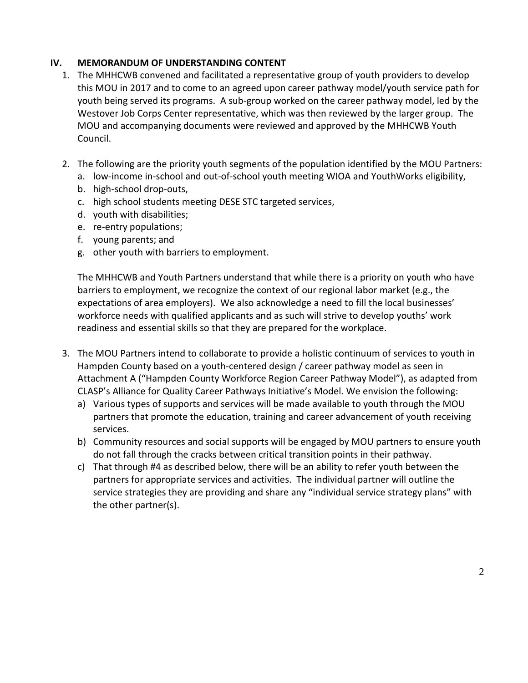### **IV. MEMORANDUM OF UNDERSTANDING CONTENT**

- 1. The MHHCWB convened and facilitated a representative group of youth providers to develop this MOU in 2017 and to come to an agreed upon career pathway model/youth service path for youth being served its programs. A sub-group worked on the career pathway model, led by the Westover Job Corps Center representative, which was then reviewed by the larger group. The MOU and accompanying documents were reviewed and approved by the MHHCWB Youth Council.
- 2. The following are the priority youth segments of the population identified by the MOU Partners:
	- a. low-income in-school and out-of-school youth meeting WIOA and YouthWorks eligibility,
	- b. high-school drop-outs,
	- c. high school students meeting DESE STC targeted services,
	- d. youth with disabilities;
	- e. re-entry populations;
	- f. young parents; and
	- g. other youth with barriers to employment.

The MHHCWB and Youth Partners understand that while there is a priority on youth who have barriers to employment, we recognize the context of our regional labor market (e.g., the expectations of area employers). We also acknowledge a need to fill the local businesses' workforce needs with qualified applicants and as such will strive to develop youths' work readiness and essential skills so that they are prepared for the workplace.

- 3. The MOU Partners intend to collaborate to provide a holistic continuum of services to youth in Hampden County based on a youth-centered design / career pathway model as seen in Attachment A ("Hampden County Workforce Region Career Pathway Model"), as adapted from CLASP's Alliance for Quality Career Pathways Initiative's Model. We envision the following:
	- a) Various types of supports and services will be made available to youth through the MOU partners that promote the education, training and career advancement of youth receiving services.
	- b) Community resources and social supports will be engaged by MOU partners to ensure youth do not fall through the cracks between critical transition points in their pathway.
	- c) That through #4 as described below, there will be an ability to refer youth between the partners for appropriate services and activities. The individual partner will outline the service strategies they are providing and share any "individual service strategy plans" with the other partner(s).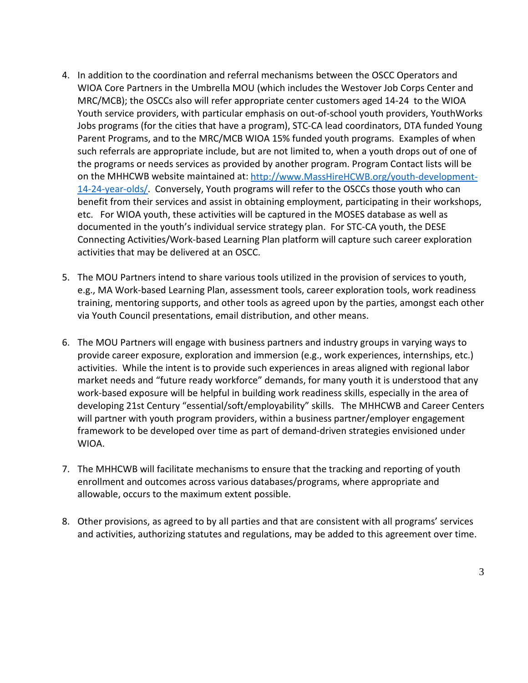- 4. In addition to the coordination and referral mechanisms between the OSCC Operators and WIOA Core Partners in the Umbrella MOU (which includes the Westover Job Corps Center and MRC/MCB); the OSCCs also will refer appropriate center customers aged 14-24 to the WIOA Youth service providers, with particular emphasis on out-of-school youth providers, YouthWorks Jobs programs (for the cities that have a program), STC-CA lead coordinators, DTA funded Young Parent Programs, and to the MRC/MCB WIOA 15% funded youth programs. Examples of when such referrals are appropriate include, but are not limited to, when a youth drops out of one of the programs or needs services as provided by another program. Program Contact lists will be on the MHHCWB website maintained at: [http://www.MassHireHCWB.org/youth-development-](http://www.masshirehcwb.org/youth-development-14-24-year-olds/)[14-24-year-olds/.](http://www.masshirehcwb.org/youth-development-14-24-year-olds/) Conversely, Youth programs will refer to the OSCCs those youth who can benefit from their services and assist in obtaining employment, participating in their workshops, etc. For WIOA youth, these activities will be captured in the MOSES database as well as documented in the youth's individual service strategy plan. For STC-CA youth, the DESE Connecting Activities/Work-based Learning Plan platform will capture such career exploration activities that may be delivered at an OSCC.
- 5. The MOU Partners intend to share various tools utilized in the provision of services to youth, e.g., MA Work-based Learning Plan, assessment tools, career exploration tools, work readiness training, mentoring supports, and other tools as agreed upon by the parties, amongst each other via Youth Council presentations, email distribution, and other means.
- 6. The MOU Partners will engage with business partners and industry groups in varying ways to provide career exposure, exploration and immersion (e.g., work experiences, internships, etc.) activities. While the intent is to provide such experiences in areas aligned with regional labor market needs and "future ready workforce" demands, for many youth it is understood that any work-based exposure will be helpful in building work readiness skills, especially in the area of developing 21st Century "essential/soft/employability" skills. The MHHCWB and Career Centers will partner with youth program providers, within a business partner/employer engagement framework to be developed over time as part of demand-driven strategies envisioned under WIOA.
- 7. The MHHCWB will facilitate mechanisms to ensure that the tracking and reporting of youth enrollment and outcomes across various databases/programs, where appropriate and allowable, occurs to the maximum extent possible.
- 8. Other provisions, as agreed to by all parties and that are consistent with all programs' services and activities, authorizing statutes and regulations, may be added to this agreement over time.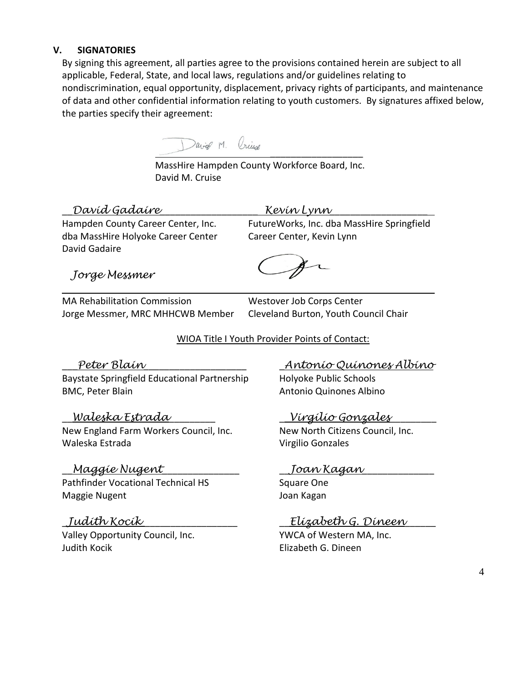### **V. SIGNATORIES**

By signing this agreement, all parties agree to the provisions contained herein are subject to all applicable, Federal, State, and local laws, regulations and/or guidelines relating to nondiscrimination, equal opportunity, displacement, privacy rights of participants, and maintenance of data and other confidential information relating to youth customers. By signatures affixed below, the parties specify their agreement:

David M. Oriuse

l

 MassHire Hampden County Workforce Board, Inc. David M. Cruise

# \_\_*David Gadaire*\_\_\_\_\_\_\_\_\_\_\_\_\_\_\_\_\_\_\_ *Kevin Lynn*\_\_\_\_\_\_\_\_\_\_\_\_\_\_\_\_\_\_\_

dba MassHire Holyoke Career Center Career Career Center, Kevin Lynn David Gadaire

Hampden County Career Center, Inc. FutureWorks, Inc. dba MassHire Springfield

\_\_\_\_\_\_\_\_\_\_\_\_\_\_\_\_\_\_

*Jorge Messmer*

MA Rehabilitation Commission Westover Job Corps Center Jorge Messmer, MRC MHHCWB Member Cleveland Burton, Youth Council Chair

## WIOA Title I Youth Provider Points of Contact:

Baystate Springfield Educational Partnership Holyoke Public Schools BMC, Peter Blain **Antonio Quinones Albino** 

### \_\_*Waleska Estrada*\_\_\_\_\_\_\_\_\_ \_\_*Virgilio Gonzales*\_\_\_\_\_\_\_\_\_

New England Farm Workers Council, Inc. New North Citizens Council, Inc. Waleska Estrada Virgilio Gonzales

# \_\_*Maggie Nugent*\_\_\_\_\_\_\_\_\_\_\_\_\_\_\_ \_\_*Joan Kagan*\_\_\_\_\_\_\_\_\_\_\_\_\_\_

Pathfinder Vocational Technical HS Square One Maggie Nugent **Maggie Nugent** Albert Annual Magan

Valley Opportunity Council, Inc. YWCA of Western MA, Inc. Judith Kocik Elizabeth G. Dineen

\_\_\_*Peter Blain*\_\_\_\_\_\_\_\_\_\_\_\_\_\_\_\_\_\_\_\_ \_*Antonio Quinones Albino*

# \_*Judith Kocik* \_\_\_\_\_\_\_\_\_\_\_\_\_\_\_\_\_\_ \_\_*Elizabeth G. Dineen*\_\_\_\_\_\_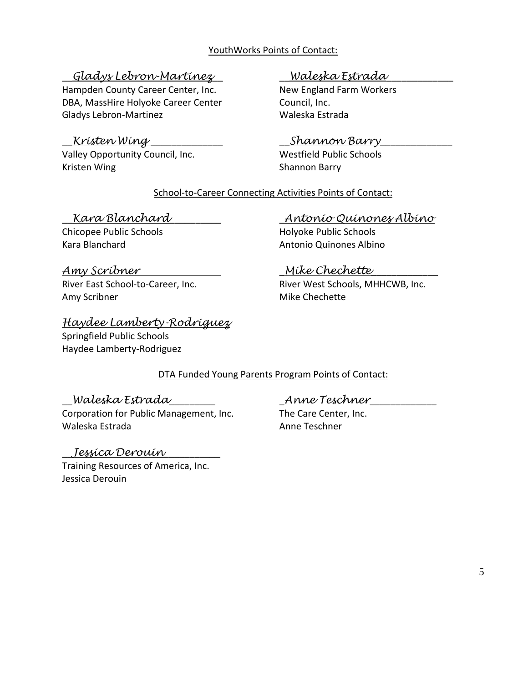### YouthWorks Points of Contact:

# \_\_*Gladys Lebron-Martinez*\_\_ \_\_*Waleska Estrada*\_\_\_\_\_\_\_\_\_\_\_\_\_

Hampden County Career Center, Inc. New England Farm Workers DBA, MassHire Holyoke Career Center Council, Inc. Gladys Lebron-Martinez Waleska Estrada

Valley Opportunity Council, Inc. Westfield Public Schools Kristen Wing **Shannon Barry** 

# \_\_*Kristen Wing* \_\_\_\_\_\_\_\_\_\_\_\_\_\_ \_\_*Shannon Barry*\_\_\_\_\_\_\_\_\_\_\_\_\_\_

### School-to-Career Connecting Activities Points of Contact:

Chicopee Public Schools **Example 20** Holyoke Public Schools

# *Amy Scribner* \_*Mike Chechette*\_\_\_\_\_\_\_\_\_\_\_\_\_ Amy Scribner Mike Chechette

*Haydee Lamberty-Rodriguez* Springfield Public Schools Haydee Lamberty-Rodriguez

## \_\_*Kara Blanchard*\_\_\_\_\_\_\_\_\_\_ \_*Antonio Quinones Albino*

Kara Blanchard **Antonio Quinones Albino** 

River East School-to-Career, Inc. River West Schools, MHHCWB, Inc.

# DTA Funded Young Parents Program Points of Contact:

\_\_*Waleska Estrada*\_\_\_\_\_\_\_\_\_ \_*Anne Teschner*\_\_\_\_\_\_\_\_\_\_\_\_\_ Corporation for Public Management, Inc. The Care Center, Inc. Waleska Estrada Anne Teschner

# \_\_*Jessica Derouin*\_\_\_\_\_\_\_\_\_\_\_

Training Resources of America, Inc. Jessica Derouin